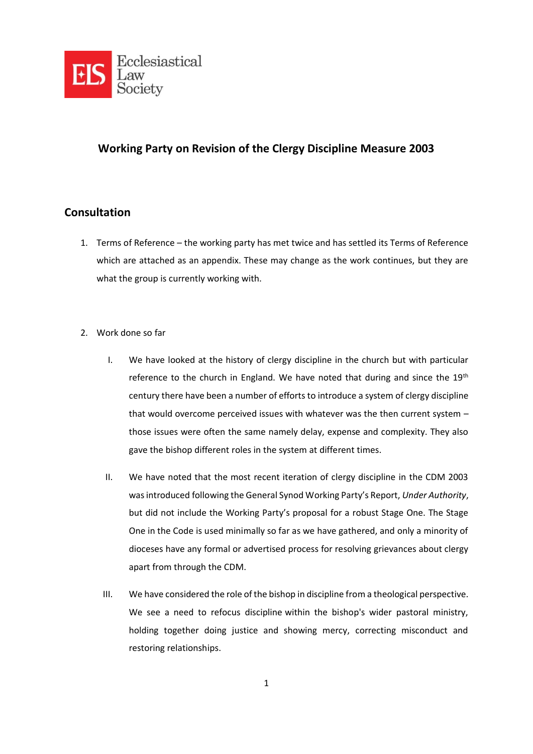

# **Working Party on Revision of the Clergy Discipline Measure 2003**

# **Consultation**

- 1. Terms of Reference the working party has met twice and has settled its Terms of Reference which are attached as an appendix. These may change as the work continues, but they are what the group is currently working with.
- 2. Work done so far
	- I. We have looked at the history of clergy discipline in the church but with particular reference to the church in England. We have noted that during and since the 19<sup>th</sup> century there have been a number of efforts to introduce a system of clergy discipline that would overcome perceived issues with whatever was the then current system – those issues were often the same namely delay, expense and complexity. They also gave the bishop different roles in the system at different times.
	- II. We have noted that the most recent iteration of clergy discipline in the CDM 2003 was introduced following the General Synod Working Party's Report, *Under Authority*, but did not include the Working Party's proposal for a robust Stage One. The Stage One in the Code is used minimally so far as we have gathered, and only a minority of dioceses have any formal or advertised process for resolving grievances about clergy apart from through the CDM.
	- III. We have considered the role of the bishop in discipline from a theological perspective. We see a need to refocus discipline within the bishop's wider pastoral ministry, holding together doing justice and showing mercy, correcting misconduct and restoring relationships.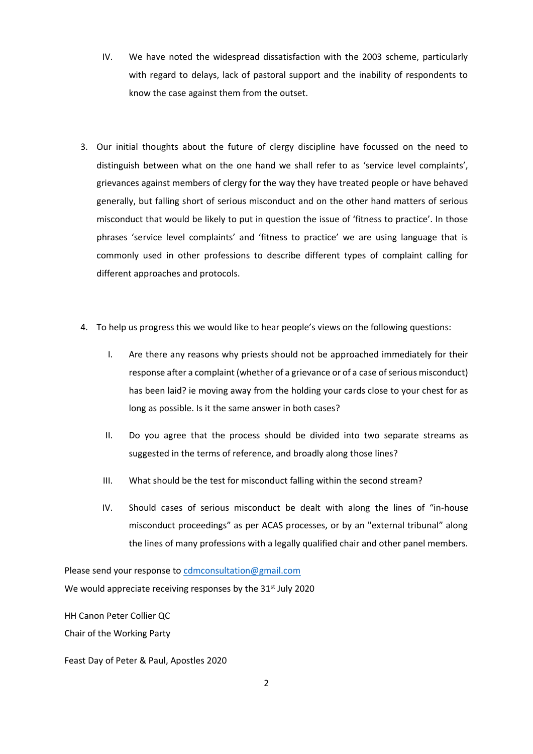- IV. We have noted the widespread dissatisfaction with the 2003 scheme, particularly with regard to delays, lack of pastoral support and the inability of respondents to know the case against them from the outset.
- 3. Our initial thoughts about the future of clergy discipline have focussed on the need to distinguish between what on the one hand we shall refer to as 'service level complaints', grievances against members of clergy for the way they have treated people or have behaved generally, but falling short of serious misconduct and on the other hand matters of serious misconduct that would be likely to put in question the issue of 'fitness to practice'. In those phrases 'service level complaints' and 'fitness to practice' we are using language that is commonly used in other professions to describe different types of complaint calling for different approaches and protocols.
- 4. To help us progress this we would like to hear people's views on the following questions:
	- I. Are there any reasons why priests should not be approached immediately for their response after a complaint (whether of a grievance or of a case of serious misconduct) has been laid? ie moving away from the holding your cards close to your chest for as long as possible. Is it the same answer in both cases?
	- II. Do you agree that the process should be divided into two separate streams as suggested in the terms of reference, and broadly along those lines?
	- III. What should be the test for misconduct falling within the second stream?
	- IV. Should cases of serious misconduct be dealt with along the lines of "in-house misconduct proceedings" as per ACAS processes, or by an "external tribunal" along the lines of many professions with a legally qualified chair and other panel members.

Please send your response to [cdmconsultation@gmail.com](mailto:cdmconsultation@gmail.com) We would appreciate receiving responses by the 31<sup>st</sup> July 2020

HH Canon Peter Collier QC

Chair of the Working Party

Feast Day of Peter & Paul, Apostles 2020